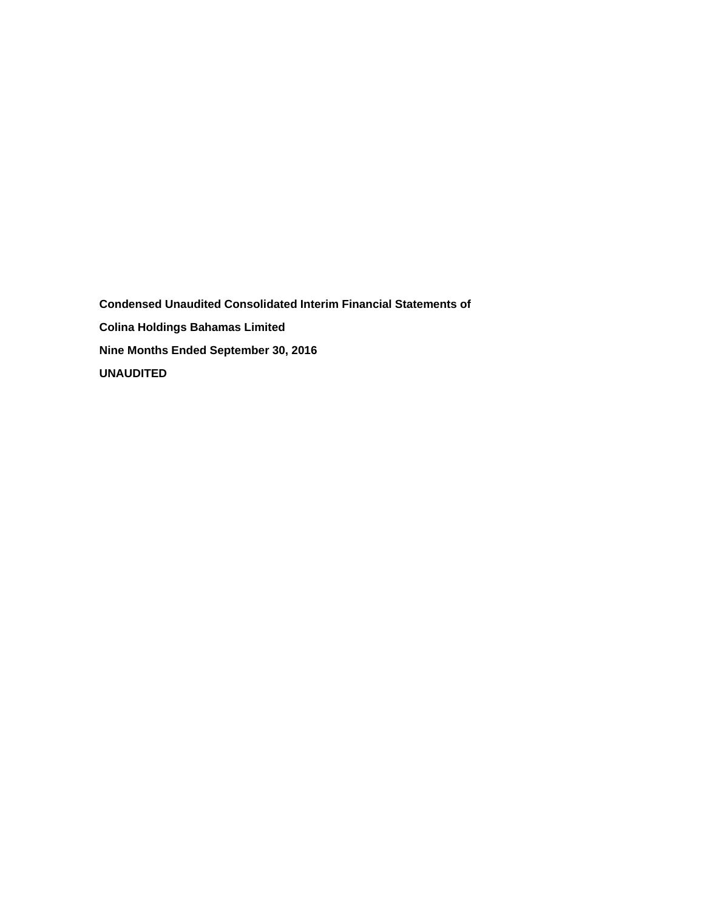**Condensed Unaudited Consolidated Interim Financial Statements of Colina Holdings Bahamas Limited Nine Months Ended September 30, 2016 UNAUDITED**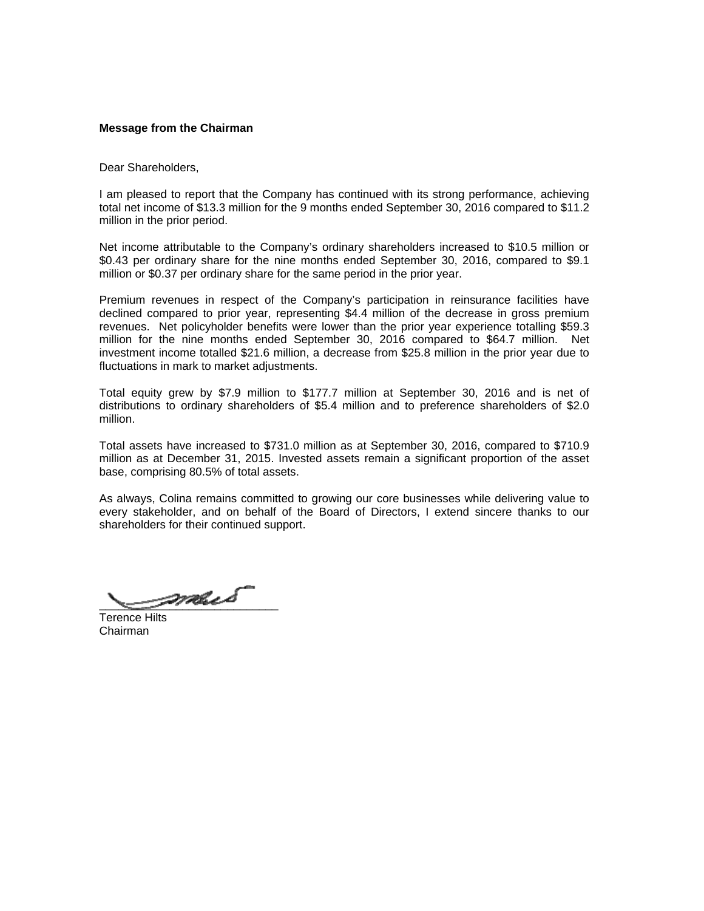## **Message from the Chairman**

Dear Shareholders,

I am pleased to report that the Company has continued with its strong performance, achieving total net income of \$13.3 million for the 9 months ended September 30, 2016 compared to \$11.2 million in the prior period.

Net income attributable to the Company's ordinary shareholders increased to \$10.5 million or \$0.43 per ordinary share for the nine months ended September 30, 2016, compared to \$9.1 million or \$0.37 per ordinary share for the same period in the prior year.

Premium revenues in respect of the Company's participation in reinsurance facilities have declined compared to prior year, representing \$4.4 million of the decrease in gross premium revenues. Net policyholder benefits were lower than the prior year experience totalling \$59.3 million for the nine months ended September 30, 2016 compared to \$64.7 million. Net investment income totalled \$21.6 million, a decrease from \$25.8 million in the prior year due to fluctuations in mark to market adjustments.

Total equity grew by \$7.9 million to \$177.7 million at September 30, 2016 and is net of distributions to ordinary shareholders of \$5.4 million and to preference shareholders of \$2.0 million.

Total assets have increased to \$731.0 million as at September 30, 2016, compared to \$710.9 million as at December 31, 2015. Invested assets remain a significant proportion of the asset base, comprising 80.5% of total assets.

As always, Colina remains committed to growing our core businesses while delivering value to every stakeholder, and on behalf of the Board of Directors, I extend sincere thanks to our shareholders for their continued support.

 $\rho$ mus

Terence Hilts Chairman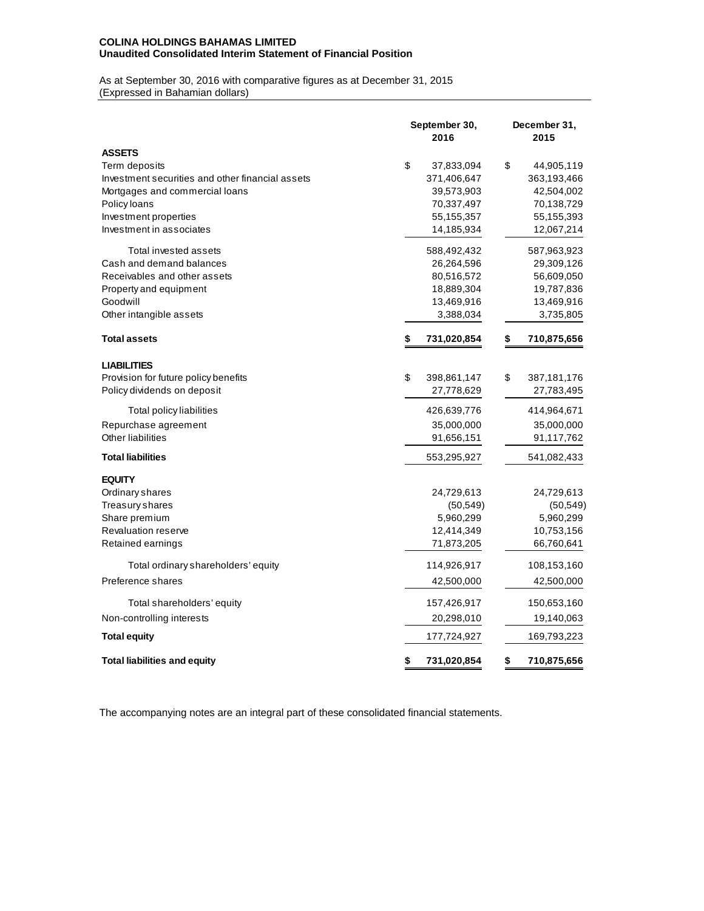## **COLINA HOLDINGS BAHAMAS LIMITED Unaudited Consolidated Interim Statement of Financial Position**

As at September 30, 2016 with comparative figures as at December 31, 2015 (Expressed in Bahamian dollars)

|                                                  | September 30,<br>2016 | December 31,<br>2015 |
|--------------------------------------------------|-----------------------|----------------------|
| <b>ASSETS</b>                                    |                       |                      |
| Term deposits                                    | \$<br>37,833,094      | \$<br>44,905,119     |
| Investment securities and other financial assets | 371,406,647           | 363,193,466          |
| Mortgages and commercial loans                   | 39,573,903            | 42,504,002           |
| Policy loans                                     | 70,337,497            | 70,138,729           |
| Investment properties                            | 55,155,357            | 55,155,393           |
| Investment in associates                         | 14,185,934            | 12,067,214           |
| Total invested assets                            | 588,492,432           | 587,963,923          |
| Cash and demand balances                         | 26,264,596            | 29,309,126           |
| Receivables and other assets                     | 80,516,572            | 56,609,050           |
| Property and equipment                           | 18,889,304            | 19,787,836           |
| Goodwill                                         | 13,469,916            | 13,469,916           |
| Other intangible assets                          | 3,388,034             | 3,735,805            |
| <b>Total assets</b>                              | 731,020,854<br>\$     | 710,875,656<br>\$    |
| <b>LIABILITIES</b>                               |                       |                      |
| Provision for future policy benefits             | \$<br>398,861,147     | \$<br>387,181,176    |
| Policy dividends on deposit                      | 27,778,629            | 27,783,495           |
| Total policy liabilities                         | 426,639,776           | 414,964,671          |
| Repurchase agreement                             | 35,000,000            | 35,000,000           |
| Other liabilities                                | 91,656,151            | 91,117,762           |
| <b>Total liabilities</b>                         | 553,295,927           | 541,082,433          |
| <b>EQUITY</b>                                    |                       |                      |
| Ordinary shares                                  | 24,729,613            | 24,729,613           |
| <b>Treasury shares</b>                           | (50, 549)             | (50, 549)            |
| Share premium                                    | 5,960,299             | 5,960,299            |
| Revaluation reserve                              | 12,414,349            | 10,753,156           |
| Retained earnings                                | 71,873,205            | 66,760,641           |
| Total ordinary shareholders' equity              | 114,926,917           | 108,153,160          |
| Preference shares                                | 42,500,000            | 42,500,000           |
| Total shareholders' equity                       | 157,426,917           | 150,653,160          |
| Non-controlling interests                        | 20,298,010            | 19,140,063           |
| <b>Total equity</b>                              | 177,724,927           | 169,793,223          |
| <b>Total liabilities and equity</b>              | 731,020,854<br>\$     | \$<br>710,875,656    |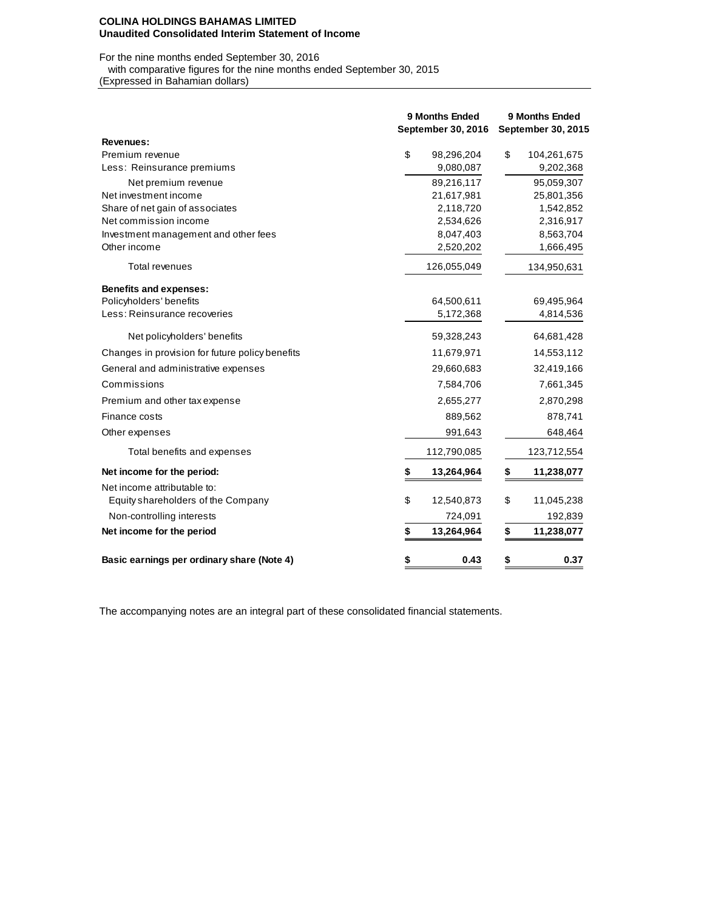#### **COLINA HOLDINGS BAHAMAS LIMITED Unaudited Consolidated Interim Statement of Income**

#### For the nine months ended September 30, 2016 with comparative figures for the nine months ended September 30, 2015

(Expressed in Bahamian dollars)

|                                                      | <b>9 Months Ended</b><br>September 30, 2016 |             | <b>9 Months Ended</b><br>September 30, 2015 |             |  |  |
|------------------------------------------------------|---------------------------------------------|-------------|---------------------------------------------|-------------|--|--|
| <b>Revenues:</b>                                     |                                             |             |                                             |             |  |  |
| Premium revenue                                      | \$                                          | 98,296,204  | \$                                          | 104,261,675 |  |  |
| Less: Reinsurance premiums                           |                                             | 9,080,087   |                                             | 9,202,368   |  |  |
| Net premium revenue                                  |                                             | 89,216,117  |                                             | 95,059,307  |  |  |
| Net investment income                                |                                             | 21,617,981  |                                             | 25,801,356  |  |  |
| Share of net gain of associates                      |                                             | 2,118,720   |                                             | 1,542,852   |  |  |
| Net commission income                                |                                             | 2,534,626   |                                             | 2,316,917   |  |  |
| Investment management and other fees<br>Other income |                                             | 8,047,403   |                                             | 8,563,704   |  |  |
|                                                      |                                             | 2,520,202   |                                             | 1,666,495   |  |  |
| Total revenues                                       |                                             | 126,055,049 |                                             | 134,950,631 |  |  |
| <b>Benefits and expenses:</b>                        |                                             |             |                                             |             |  |  |
| Policyholders' benefits                              |                                             | 64,500,611  |                                             | 69,495,964  |  |  |
| Less: Reinsurance recoveries                         |                                             | 5,172,368   |                                             | 4,814,536   |  |  |
| Net policyholders' benefits                          |                                             | 59,328,243  |                                             | 64,681,428  |  |  |
| Changes in provision for future policy benefits      |                                             | 11,679,971  |                                             | 14,553,112  |  |  |
| General and administrative expenses                  |                                             | 29,660,683  |                                             | 32,419,166  |  |  |
| Commissions                                          |                                             | 7,584,706   |                                             | 7,661,345   |  |  |
| Premium and other tax expense                        |                                             | 2,655,277   |                                             | 2,870,298   |  |  |
| Finance costs                                        |                                             | 889,562     |                                             | 878,741     |  |  |
| Other expenses                                       |                                             | 991,643     |                                             | 648,464     |  |  |
| Total benefits and expenses                          |                                             | 112,790,085 |                                             | 123,712,554 |  |  |
| Net income for the period:                           |                                             | 13,264,964  | S                                           | 11,238,077  |  |  |
| Net income attributable to:                          |                                             |             |                                             |             |  |  |
| Equity shareholders of the Company                   | \$                                          | 12,540,873  | \$                                          | 11,045,238  |  |  |
| Non-controlling interests                            |                                             | 724,091     |                                             | 192,839     |  |  |
| Net income for the period                            | \$                                          | 13,264,964  | \$                                          | 11,238,077  |  |  |
| Basic earnings per ordinary share (Note 4)           | \$                                          | 0.43        | \$                                          | 0.37        |  |  |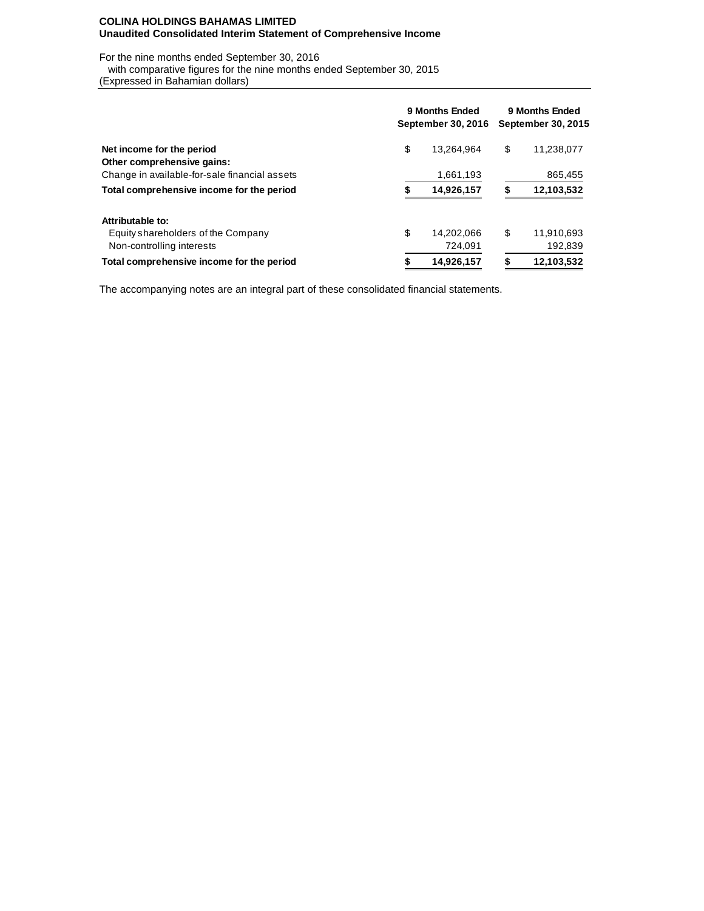### **COLINA HOLDINGS BAHAMAS LIMITED Unaudited Consolidated Interim Statement of Comprehensive Income**

For the nine months ended September 30, 2016

with comparative figures for the nine months ended September 30, 2015

(Expressed in Bahamian dollars)

|                                               | 9 Months Ended<br>September 30, 2016 |            |    | 9 Months Ended<br>September 30, 2015 |  |  |  |  |
|-----------------------------------------------|--------------------------------------|------------|----|--------------------------------------|--|--|--|--|
| Net income for the period                     | \$                                   | 13.264.964 | \$ | 11,238,077                           |  |  |  |  |
| Other comprehensive gains:                    |                                      |            |    |                                      |  |  |  |  |
| Change in available-for-sale financial assets |                                      | 1,661,193  |    | 865,455                              |  |  |  |  |
| Total comprehensive income for the period     | S                                    | 14,926,157 | S  | 12,103,532                           |  |  |  |  |
| Attributable to:                              |                                      |            |    |                                      |  |  |  |  |
| Equity shareholders of the Company            | \$                                   | 14.202.066 | \$ | 11.910.693                           |  |  |  |  |
| Non-controlling interests                     |                                      | 724.091    |    | 192,839                              |  |  |  |  |
| Total comprehensive income for the period     | 14,926,157                           |            |    | 12,103,532                           |  |  |  |  |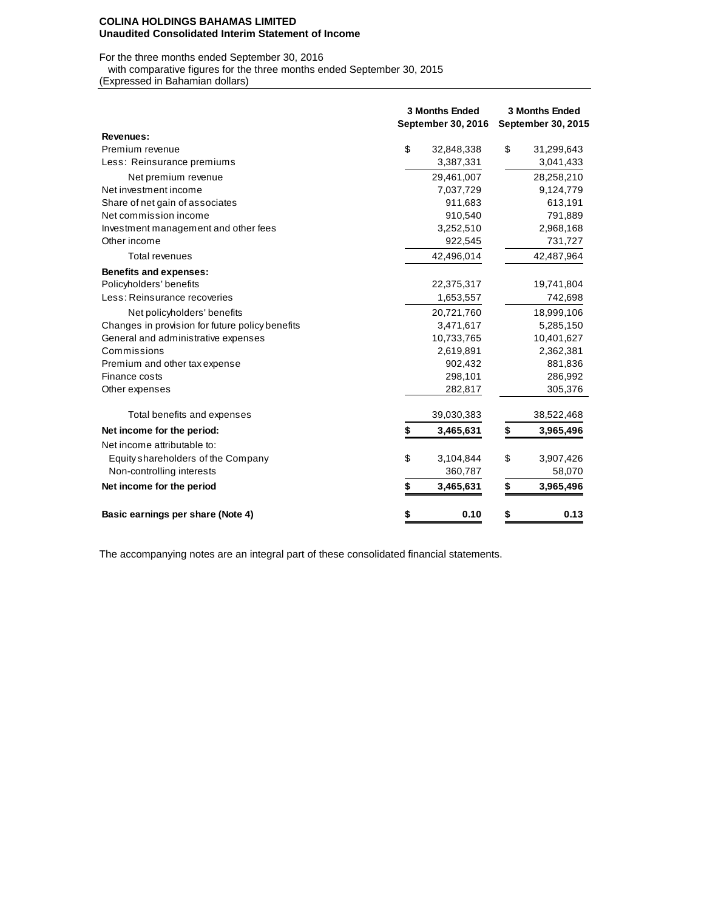#### **COLINA HOLDINGS BAHAMAS LIMITED Unaudited Consolidated Interim Statement of Income**

For the three months ended September 30, 2016

with comparative figures for the three months ended September 30, 2015

(Expressed in Bahamian dollars)

|                                                 | <b>3 Months Ended</b><br>September 30, 2016 |            |    | <b>3 Months Ended</b><br><b>September 30, 2015</b> |  |  |  |  |
|-------------------------------------------------|---------------------------------------------|------------|----|----------------------------------------------------|--|--|--|--|
| Revenues:                                       |                                             |            |    |                                                    |  |  |  |  |
| Premium revenue                                 | \$                                          | 32,848,338 | \$ | 31,299,643                                         |  |  |  |  |
| Less: Reinsurance premiums                      |                                             | 3,387,331  |    | 3,041,433                                          |  |  |  |  |
| Net premium revenue                             |                                             | 29,461,007 |    | 28,258,210                                         |  |  |  |  |
| Net investment income                           |                                             | 7,037,729  |    | 9,124,779                                          |  |  |  |  |
| Share of net gain of associates                 |                                             | 911,683    |    | 613,191                                            |  |  |  |  |
| Net commission income                           |                                             | 910,540    |    | 791,889                                            |  |  |  |  |
| Investment management and other fees            |                                             | 3,252,510  |    | 2,968,168                                          |  |  |  |  |
| Other income                                    |                                             | 922,545    |    | 731,727                                            |  |  |  |  |
| Total revenues                                  |                                             | 42,496,014 |    | 42,487,964                                         |  |  |  |  |
| <b>Benefits and expenses:</b>                   |                                             |            |    |                                                    |  |  |  |  |
| Policyholders' benefits                         |                                             | 22,375,317 |    | 19,741,804                                         |  |  |  |  |
| Less: Reinsurance recoveries                    |                                             | 1,653,557  |    | 742,698                                            |  |  |  |  |
| Net policyholders' benefits                     |                                             | 20,721,760 |    | 18,999,106                                         |  |  |  |  |
| Changes in provision for future policy benefits |                                             | 3,471,617  |    | 5,285,150                                          |  |  |  |  |
| General and administrative expenses             |                                             | 10,733,765 |    | 10,401,627                                         |  |  |  |  |
| Commissions                                     |                                             | 2,619,891  |    | 2,362,381                                          |  |  |  |  |
| Premium and other tax expense                   |                                             | 902,432    |    | 881,836                                            |  |  |  |  |
| Finance costs                                   |                                             | 298,101    |    | 286,992                                            |  |  |  |  |
| Other expenses                                  |                                             | 282,817    |    | 305,376                                            |  |  |  |  |
| Total benefits and expenses                     |                                             | 39,030,383 |    | 38,522,468                                         |  |  |  |  |
| Net income for the period:                      | S                                           | 3,465,631  | \$ | 3,965,496                                          |  |  |  |  |
| Net income attributable to:                     |                                             |            |    |                                                    |  |  |  |  |
| Equity shareholders of the Company              | \$                                          | 3,104,844  | \$ | 3,907,426                                          |  |  |  |  |
| Non-controlling interests                       |                                             | 360,787    |    | 58,070                                             |  |  |  |  |
| Net income for the period                       | \$                                          | 3,465,631  | \$ | 3,965,496                                          |  |  |  |  |
| Basic earnings per share (Note 4)               | \$                                          | 0.10       | \$ | 0.13                                               |  |  |  |  |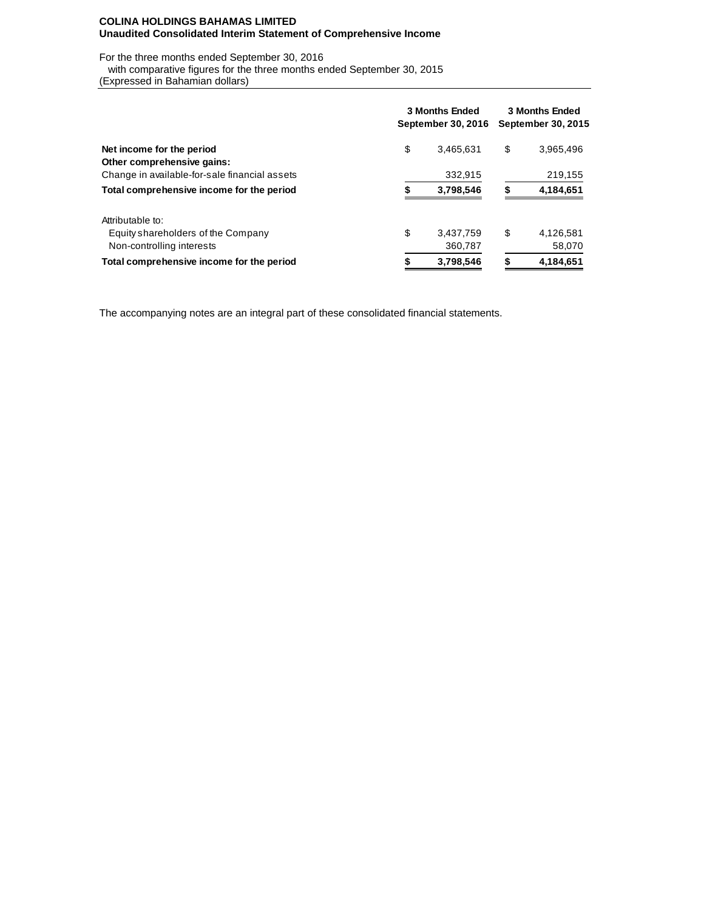### **COLINA HOLDINGS BAHAMAS LIMITED Unaudited Consolidated Interim Statement of Comprehensive Income**

For the three months ended September 30, 2016

 with comparative figures for the three months ended September 30, 2015 (Expressed in Bahamian dollars)

|                                               | <b>3 Months Ended</b><br>September 30, 2016 | <b>3 Months Ended</b><br><b>September 30, 2015</b> |    |           |  |
|-----------------------------------------------|---------------------------------------------|----------------------------------------------------|----|-----------|--|
| Net income for the period                     | \$                                          | 3.465.631                                          | \$ | 3,965,496 |  |
| Other comprehensive gains:                    |                                             |                                                    |    |           |  |
| Change in available-for-sale financial assets |                                             | 332.915                                            |    | 219,155   |  |
| Total comprehensive income for the period     | 3,798,546                                   |                                                    |    | 4,184,651 |  |
| Attributable to:                              |                                             |                                                    |    |           |  |
| Equity shareholders of the Company            | \$                                          | 3,437,759                                          | \$ | 4,126,581 |  |
| Non-controlling interests                     |                                             | 360,787                                            |    | 58,070    |  |
| Total comprehensive income for the period     | 3,798,546<br>S                              |                                                    |    | 4.184.651 |  |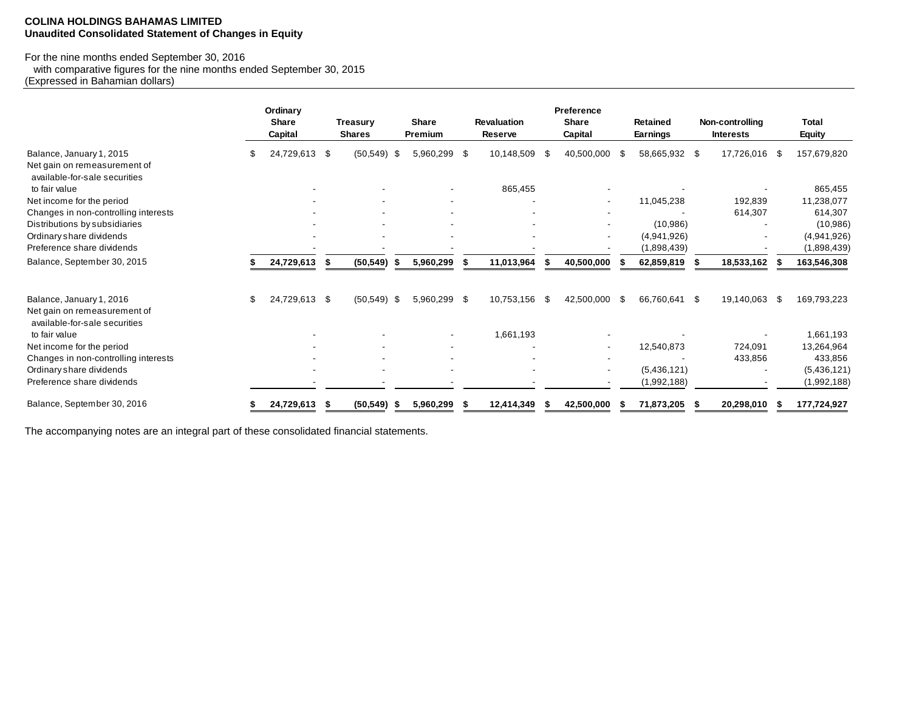#### **COLINA HOLDINGS BAHAMAS LIMITED Unaudited Consolidated Statement of Changes in Equity**

#### For the nine months ended September 30, 2016

 with comparative figures for the nine months ended September 30, 2015 (Expressed in Bahamian dollars)

|                                                                                           | Ordinary<br><b>Share</b><br>Capital |     | <b>Treasury</b><br><b>Shares</b> |   | Share<br>Premium | <b>Revaluation</b><br>Reserve |      | Preference<br><b>Share</b><br>Capital |               | <b>Retained</b><br><b>Earnings</b> |               | Non-controlling<br><b>Interests</b> |      | <b>Total</b><br><b>Equity</b> |
|-------------------------------------------------------------------------------------------|-------------------------------------|-----|----------------------------------|---|------------------|-------------------------------|------|---------------------------------------|---------------|------------------------------------|---------------|-------------------------------------|------|-------------------------------|
| Balance, January 1, 2015<br>Net gain on remeasurement of<br>available-for-sale securities | 24,729,613                          | -\$ | $(50, 549)$ \$                   |   | 5,960,299 \$     | 10,148,509                    | - \$ | 40,500,000                            | -SG           | 58,665,932 \$                      |               | 17,726,016                          | - 35 | 157,679,820                   |
| to fair value                                                                             |                                     |     |                                  |   |                  | 865,455                       |      |                                       |               |                                    |               |                                     |      | 865,455                       |
| Net income for the period                                                                 |                                     |     |                                  |   |                  |                               |      | $\overline{\phantom{a}}$              |               | 11,045,238                         |               | 192,839                             |      | 11,238,077                    |
| Changes in non-controlling interests                                                      |                                     |     |                                  |   |                  |                               |      |                                       |               |                                    |               | 614,307                             |      | 614,307                       |
| Distributions by subsidiaries                                                             |                                     |     |                                  |   |                  |                               |      |                                       |               | (10, 986)                          |               |                                     |      | (10,986)                      |
| Ordinary share dividends                                                                  |                                     |     |                                  |   |                  |                               |      | $\overline{\phantom{a}}$              |               | (4,941,926)                        |               |                                     |      | (4,941,926)                   |
| Preference share dividends                                                                |                                     |     |                                  |   |                  |                               |      |                                       |               | (1,898,439)                        |               |                                     |      | (1,898,439)                   |
| Balance, September 30, 2015                                                               | 24,729,613                          |     | (50, 549)                        |   | 5,960,299        | 11,013,964                    |      | 40,500,000                            |               | 62,859,819                         |               | 18,533,162                          |      | 163,546,308                   |
| Balance, January 1, 2016<br>Net gain on remeasurement of                                  | \$<br>24,729,613 \$                 |     | $(50, 549)$ \$                   |   | 5,960,299 \$     | 10,753,156                    | \$   | 42,500,000                            | $\mathfrak s$ | 66,760,641                         | $\mathcal{S}$ | 19,140,063                          | - \$ | 169,793,223                   |
| available-for-sale securities                                                             |                                     |     |                                  |   |                  |                               |      |                                       |               |                                    |               |                                     |      |                               |
| to fair value                                                                             |                                     |     |                                  |   |                  | 1,661,193                     |      |                                       |               |                                    |               |                                     |      | 1,661,193                     |
| Net income for the period                                                                 |                                     |     |                                  |   |                  |                               |      |                                       |               | 12,540,873                         |               | 724,091                             |      | 13,264,964                    |
| Changes in non-controlling interests                                                      |                                     |     |                                  |   |                  |                               |      |                                       |               |                                    |               | 433,856                             |      | 433,856                       |
| Ordinary share dividends                                                                  |                                     |     | $\overline{\phantom{a}}$         |   |                  |                               |      | $\overline{\phantom{a}}$              |               | (5,436,121)                        |               |                                     |      | (5,436,121)                   |
| Preference share dividends                                                                |                                     |     |                                  |   |                  |                               |      |                                       |               | (1,992,188)                        |               |                                     |      | (1,992,188)                   |
| Balance, September 30, 2016                                                               | 24,729,613                          |     | (50, 549)                        | ж | 5,960,299        | 12,414,349                    |      | 42,500,000                            |               | 71,873,205                         |               | 20,298,010                          |      | 177,724,927                   |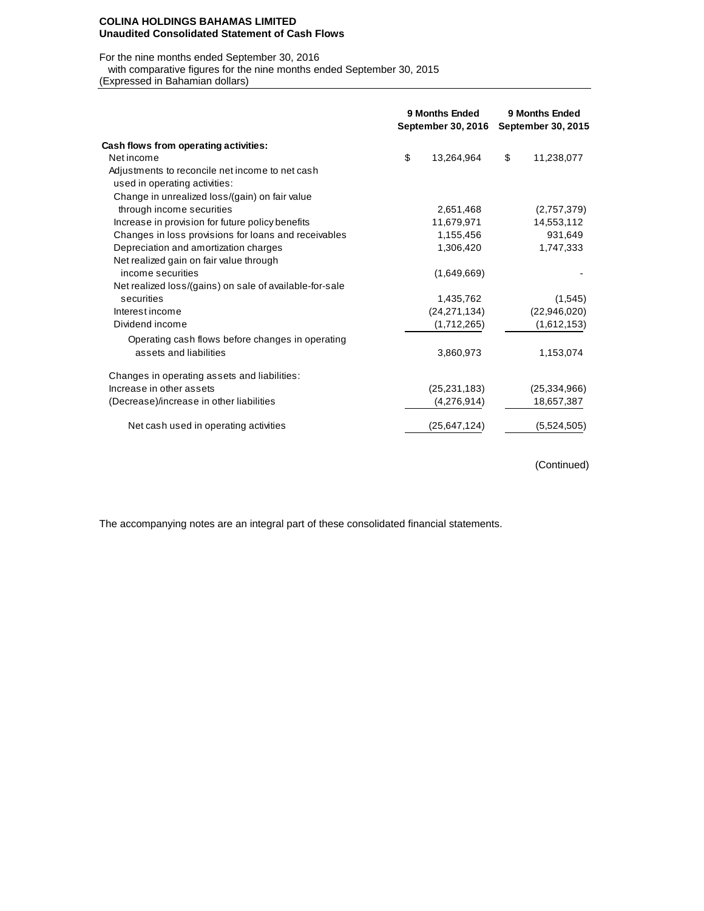#### **COLINA HOLDINGS BAHAMAS LIMITED Unaudited Consolidated Statement of Cash Flows**

For the nine months ended September 30, 2016

with comparative figures for the nine months ended September 30, 2015

(Expressed in Bahamian dollars)

|                                                                                  | 9 Months Ended<br>September 30, 2016 | 9 Months Ended<br>September 30, 2015 |                |  |
|----------------------------------------------------------------------------------|--------------------------------------|--------------------------------------|----------------|--|
| Cash flows from operating activities:                                            |                                      |                                      |                |  |
| Net income                                                                       | \$<br>13,264,964                     | \$                                   | 11,238,077     |  |
| Adjustments to reconcile net income to net cash<br>used in operating activities: |                                      |                                      |                |  |
|                                                                                  |                                      |                                      |                |  |
| Change in unrealized loss/(gain) on fair value<br>through income securities      | 2,651,468                            |                                      | (2,757,379)    |  |
| Increase in provision for future policy benefits                                 | 11,679,971                           |                                      | 14,553,112     |  |
| Changes in loss provisions for loans and receivables                             | 1,155,456                            |                                      | 931,649        |  |
| Depreciation and amortization charges                                            | 1,306,420                            |                                      | 1,747,333      |  |
| Net realized gain on fair value through                                          |                                      |                                      |                |  |
| income securities                                                                | (1,649,669)                          |                                      |                |  |
| Net realized loss/(gains) on sale of available-for-sale                          |                                      |                                      |                |  |
| securities                                                                       | 1,435,762                            |                                      | (1,545)        |  |
| Interest income                                                                  | (24, 271, 134)                       |                                      | (22,946,020)   |  |
| Dividend income                                                                  | (1,712,265)                          |                                      | (1,612,153)    |  |
| Operating cash flows before changes in operating                                 |                                      |                                      |                |  |
| assets and liabilities                                                           | 3,860,973                            |                                      | 1,153,074      |  |
| Changes in operating assets and liabilities:                                     |                                      |                                      |                |  |
| Increase in other assets                                                         | (25, 231, 183)                       |                                      | (25, 334, 966) |  |
| (Decrease)/increase in other liabilities                                         | (4,276,914)                          |                                      | 18,657,387     |  |
| Net cash used in operating activities                                            | (25,647,124)                         |                                      | (5,524,505)    |  |

(Continued)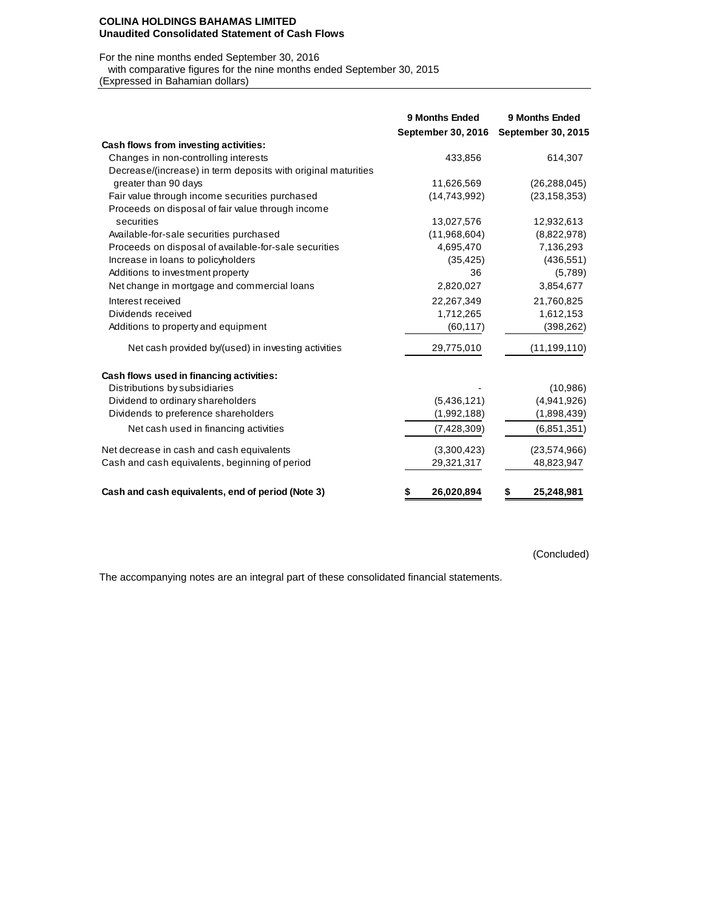#### **COLINA HOLDINGS BAHAMAS LIMITED Unaudited Consolidated Statement of Cash Flows**

## For the nine months ended September 30, 2016

with comparative figures for the nine months ended September 30, 2015

(Expressed in Bahamian dollars)

|                                                               | <b>9 Months Ended</b> | 9 Months Ended            |
|---------------------------------------------------------------|-----------------------|---------------------------|
|                                                               | September 30, 2016    | <b>September 30, 2015</b> |
| Cash flows from investing activities:                         |                       |                           |
| Changes in non-controlling interests                          | 433,856               | 614,307                   |
| Decrease/(increase) in term deposits with original maturities |                       |                           |
| greater than 90 days                                          | 11,626,569            | (26, 288, 045)            |
| Fair value through income securities purchased                | (14, 743, 992)        | (23, 158, 353)            |
| Proceeds on disposal of fair value through income             |                       |                           |
| securities                                                    | 13,027,576            | 12,932,613                |
| Available-for-sale securities purchased                       | (11,968,604)          | (8,822,978)               |
| Proceeds on disposal of available-for-sale securities         | 4,695,470             | 7,136,293                 |
| Increase in loans to policyholders                            | (35, 425)             | (436, 551)                |
| Additions to investment property                              | 36                    | (5,789)                   |
| Net change in mortgage and commercial loans                   | 2,820,027             | 3,854,677                 |
| Interest received                                             | 22,267,349            | 21,760,825                |
| Dividends received                                            | 1,712,265             | 1,612,153                 |
| Additions to property and equipment                           | (60, 117)             | (398, 262)                |
| Net cash provided by/(used) in investing activities           | 29,775,010            | (11, 199, 110)            |
| Cash flows used in financing activities:                      |                       |                           |
| Distributions by subsidiaries                                 |                       | (10,986)                  |
| Dividend to ordinary shareholders                             | (5,436,121)           | (4,941,926)               |
| Dividends to preference shareholders                          | (1,992,188)           | (1,898,439)               |
| Net cash used in financing activities                         | (7,428,309)           | (6,851,351)               |
| Net decrease in cash and cash equivalents                     | (3,300,423)           | (23,574,966)              |
| Cash and cash equivalents, beginning of period                | 29,321,317            | 48,823,947                |
| Cash and cash equivalents, end of period (Note 3)             | 26,020,894<br>\$      | 25,248,981<br>\$          |

(Concluded)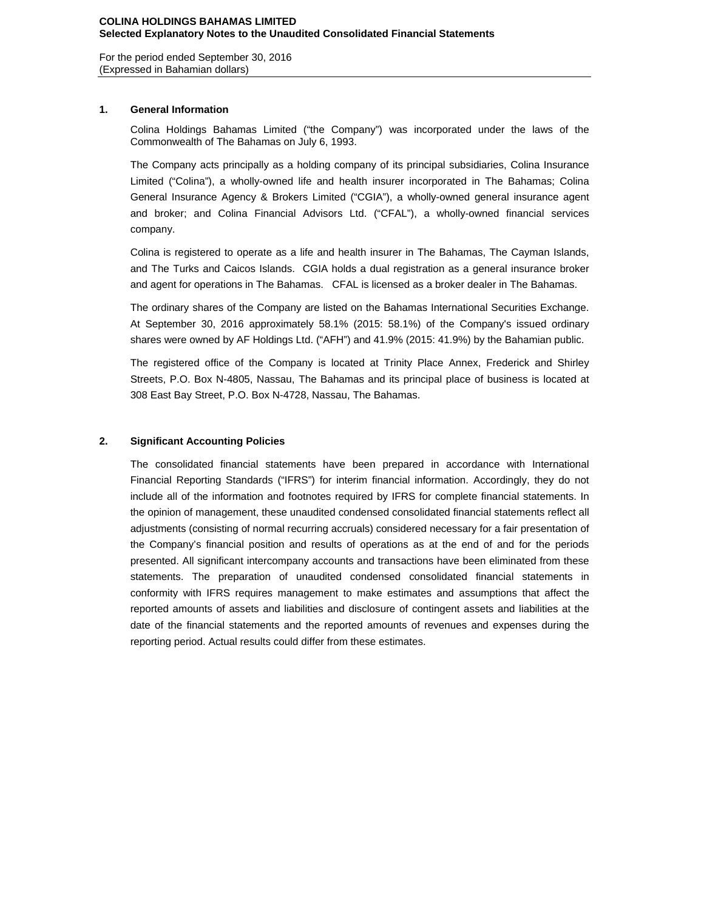For the period ended September 30, 2016 (Expressed in Bahamian dollars)

### **1. General Information**

Colina Holdings Bahamas Limited ("the Company") was incorporated under the laws of the Commonwealth of The Bahamas on July 6, 1993.

The Company acts principally as a holding company of its principal subsidiaries, Colina Insurance Limited ("Colina"), a wholly-owned life and health insurer incorporated in The Bahamas; Colina General Insurance Agency & Brokers Limited ("CGIA"), a wholly-owned general insurance agent and broker; and Colina Financial Advisors Ltd. ("CFAL"), a wholly-owned financial services company.

Colina is registered to operate as a life and health insurer in The Bahamas, The Cayman Islands, and The Turks and Caicos Islands. CGIA holds a dual registration as a general insurance broker and agent for operations in The Bahamas. CFAL is licensed as a broker dealer in The Bahamas.

The ordinary shares of the Company are listed on the Bahamas International Securities Exchange. At September 30, 2016 approximately 58.1% (2015: 58.1%) of the Company's issued ordinary shares were owned by AF Holdings Ltd. ("AFH") and 41.9% (2015: 41.9%) by the Bahamian public.

The registered office of the Company is located at Trinity Place Annex, Frederick and Shirley Streets, P.O. Box N-4805, Nassau, The Bahamas and its principal place of business is located at 308 East Bay Street, P.O. Box N-4728, Nassau, The Bahamas.

### **2. Significant Accounting Policies**

The consolidated financial statements have been prepared in accordance with International Financial Reporting Standards ("IFRS") for interim financial information. Accordingly, they do not include all of the information and footnotes required by IFRS for complete financial statements. In the opinion of management, these unaudited condensed consolidated financial statements reflect all adjustments (consisting of normal recurring accruals) considered necessary for a fair presentation of the Company's financial position and results of operations as at the end of and for the periods presented. All significant intercompany accounts and transactions have been eliminated from these statements. The preparation of unaudited condensed consolidated financial statements in conformity with IFRS requires management to make estimates and assumptions that affect the reported amounts of assets and liabilities and disclosure of contingent assets and liabilities at the date of the financial statements and the reported amounts of revenues and expenses during the reporting period. Actual results could differ from these estimates.